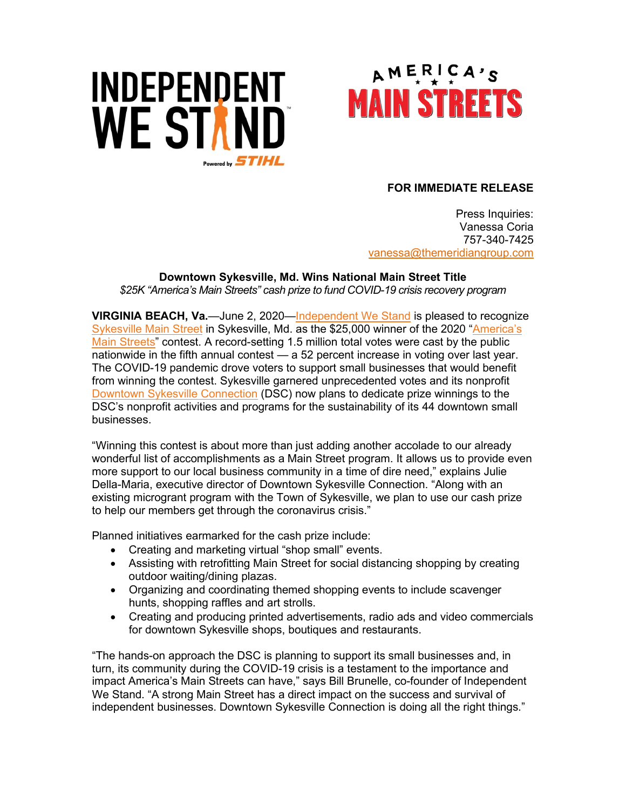# INDEPENDENT **WE STAND** Powered by  $STIHL$



#### **FOR IMMEDIATE RELEASE**

Press Inquiries: Vanessa Coria 757-340-7425 vanessa[@themeridiangroup.](mailto:vanessa@themeridiangroup.com)com

### **Downtown Sykesville, Md. Wins National Main Street Title**

*\$25K "America's Main Streets" cash prize to fund COVID-19 crisis recovery program*

**VIRGINIA BEACH, Va.**—June 2, 2020[—Independent We Stand](http://www.independentwestand.org/) is pleased to recognize [Sykesville Main Street](https://www.mainstreetcontest.com/profile/28) in Sykesville, Md. as the \$25,000 winner of the 2020 ["America's](http://www.mainstreetcontest.com/)  [Main Streets"](http://www.mainstreetcontest.com/) contest. A record-setting 1.5 million total votes were cast by the public nationwide in the fifth annual contest — a 52 percent increase in voting over last year. The COVID-19 pandemic drove voters to support small businesses that would benefit from winning the contest. Sykesville garnered unprecedented votes and its nonprofit [Downtown Sykesville Connection](https://www.sykesvillemainstreet.com/) (DSC) now plans to dedicate prize winnings to the DSC's nonprofit activities and programs for the sustainability of its 44 downtown small businesses.

"Winning this contest is about more than just adding another accolade to our already wonderful list of accomplishments as a Main Street program. It allows us to provide even more support to our local business community in a time of dire need," explains Julie Della-Maria, executive director of Downtown Sykesville Connection. "Along with an existing microgrant program with the Town of Sykesville, we plan to use our cash prize to help our members get through the coronavirus crisis."

Planned initiatives earmarked for the cash prize include:

- Creating and marketing virtual "shop small" events.
- Assisting with retrofitting Main Street for social distancing shopping by creating outdoor waiting/dining plazas.
- Organizing and coordinating themed shopping events to include scavenger hunts, shopping raffles and art strolls.
- Creating and producing printed advertisements, radio ads and video commercials for downtown Sykesville shops, boutiques and restaurants.

"The hands-on approach the DSC is planning to support its small businesses and, in turn, its community during the COVID-19 crisis is a testament to the importance and impact America's Main Streets can have," says Bill Brunelle, co-founder of Independent We Stand. "A strong Main Street has a direct impact on the success and survival of independent businesses. Downtown Sykesville Connection is doing all the right things."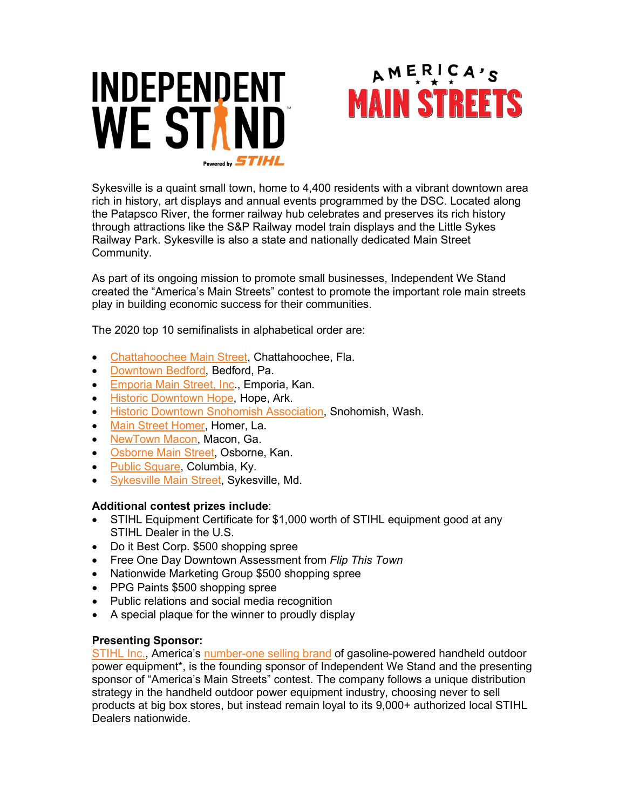



Sykesville is a quaint small town, home to 4,400 residents with a vibrant downtown area rich in history, art displays and annual events programmed by the DSC. Located along the Patapsco River, the former railway hub celebrates and preserves its rich history through attractions like the S&P Railway model train displays and the Little Sykes Railway Park. Sykesville is also a state and nationally dedicated Main Street Community.

As part of its ongoing mission to promote small businesses, Independent We Stand created the "America's Main Streets" contest to promote the important role main streets play in building economic success for their communities.

The 2020 top 10 semifinalists in alphabetical order are:

- [Chattahoochee Main Street,](https://www.mainstreetcontest.com/profile/30) Chattahoochee, Fla.
- [Downtown Bedford,](https://www.mainstreetcontest.com/profile/82) Bedford, Pa.
- [Emporia Main Street, Inc.](https://www.mainstreetcontest.com/profile/51), Emporia, Kan.
- [Historic Downtown Hope,](https://www.mainstreetcontest.com/profile/119) Hope, Ark.
- [Historic Downtown Snohomish Association,](https://www.mainstreetcontest.com/profile/125) Snohomish, Wash.
- [Main Street Homer,](https://www.mainstreetcontest.com/profile/49) Homer, La.
- [NewTown Macon,](https://www.mainstreetcontest.com/profile/17) Macon, Ga.
- [Osborne Main Street,](https://www.mainstreetcontest.com/profile/99) Osborne, Kan.
- [Public Square,](https://www.mainstreetcontest.com/profile/150) Columbia, Ky.
- [Sykesville Main Street,](https://www.mainstreetcontest.com/profile/28) Sykesville, Md.

#### **Additional contest prizes include**:

- STIHL Equipment Certificate for \$1,000 worth of STIHL equipment good at any STIHL Dealer in the U.S.
- Do it Best Corp. \$500 shopping spree
- Free One Day Downtown Assessment from *Flip This Town*
- Nationwide Marketing Group \$500 shopping spree
- PPG Paints \$500 shopping spree
- Public relations and social media recognition
- A special plaque for the winner to proudly display

#### **Presenting Sponsor:**

[STIHL Inc.,](http://www.stihlusa.com/handheld-outdoor-power-equipment/) America's [number-one selling brand](http://www.stihlusa.com/handheld-outdoor-power-equipment/) of gasoline-powered handheld outdoor power equipment\*, is the founding sponsor of Independent We Stand and the presenting sponsor of "America's Main Streets" contest. The company follows a unique distribution strategy in the handheld outdoor power equipment industry, choosing never to sell products at big box stores, but instead remain loyal to its 9,000+ authorized local STIHL Dealers nationwide.